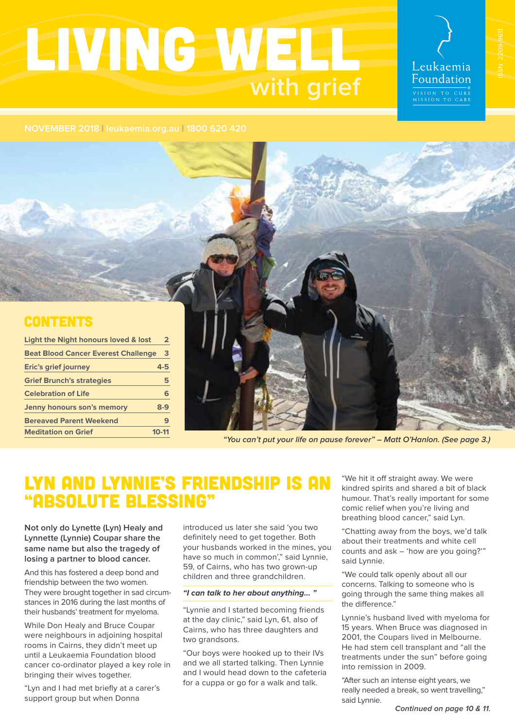# living well **with grief**



**NOVEMBER 2018 | leukaemia.org.au | 1800 620 420**

### **CONTENTS**

| Light the Night honours loved & lost       |           | $\overline{2}$ |
|--------------------------------------------|-----------|----------------|
| <b>Beat Blood Cancer Everest Challenge</b> |           | 3              |
| Eric's grief journey                       | $4 - 5$   |                |
| <b>Grief Brunch's strategies</b>           |           | 5              |
| <b>Celebration of Life</b>                 |           | 6              |
| Jenny honours son's memory                 | 8-9       |                |
| <b>Bereaved Parent Weekend</b>             |           | 9              |
| <b>Meditation on Grief</b>                 | $10 - 11$ |                |
|                                            |           |                |



**"You can't put your life on pause forever" – Matt O'Hanlon. (See page 3.)**

# LYN AND LYNNIE'S FRIENDSHIP IS AN "ABSOLUTE BLESSING"

**Not only do Lynette (Lyn) Healy and Lynnette (Lynnie) Coupar share the same name but also the tragedy of losing a partner to blood cancer.** 

And this has fostered a deep bond and friendship between the two women. They were brought together in sad circumstances in 2016 during the last months of their husbands' treatment for myeloma.

While Don Healy and Bruce Coupar were neighbours in adjoining hospital rooms in Cairns, they didn't meet up until a Leukaemia Foundation blood cancer co-ordinator played a key role in bringing their wives together.

"Lyn and I had met briefly at a carer's support group but when Donna

introduced us later she said 'you two definitely need to get together. Both your husbands worked in the mines, you have so much in common'," said Lynnie, 59, of Cairns, who has two grown-up children and three grandchildren.

#### **"I can talk to her about anything... "**

"Lynnie and I started becoming friends at the day clinic," said Lyn, 61, also of Cairns, who has three daughters and two grandsons.

"Our boys were hooked up to their IVs and we all started talking. Then Lynnie and I would head down to the cafeteria for a cuppa or go for a walk and talk.

"We hit it off straight away. We were kindred spirits and shared a bit of black humour. That's really important for some comic relief when you're living and breathing blood cancer," said Lyn.

"Chatting away from the boys, we'd talk about their treatments and white cell counts and ask – 'how are you going?'" said Lynnie.

"We could talk openly about all our concerns. Talking to someone who is going through the same thing makes all the diference."

Lynnie's husband lived with myeloma for 15 years. When Bruce was diagnosed in 2001, the Coupars lived in Melbourne. He had stem cell transplant and "all the treatments under the sun" before going into remission in 2009.

"After such an intense eight years, we really needed a break, so went travelling," said Lynnie.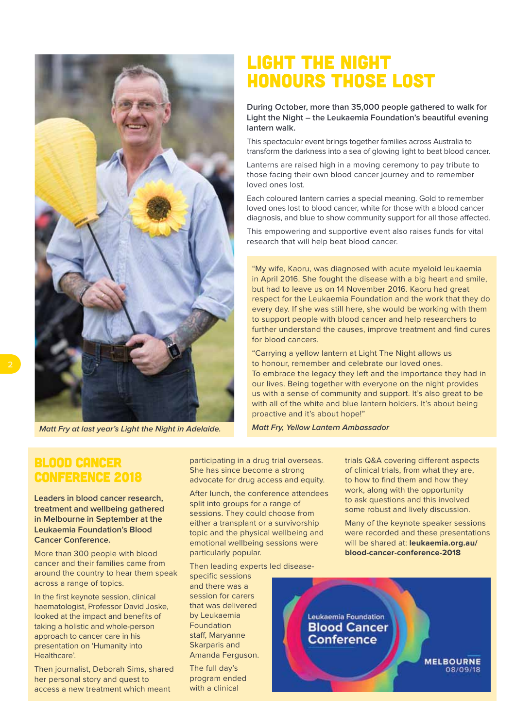

**Matt Fry at last year's Light the Night in Adelaide. Matt Fry, Yellow Lantern Ambassador**

## LIGHT THE NIGHT HONOURS THOSE LOST

**During October, more than 35,000 people gathered to walk for Light the Night – the Leukaemia Foundation's beautiful evening lantern walk.** 

This spectacular event brings together families across Australia to transform the darkness into a sea of glowing light to beat blood cancer.

Lanterns are raised high in a moving ceremony to pay tribute to those facing their own blood cancer journey and to remember loved ones lost.

Each coloured lantern carries a special meaning. Gold to remember loved ones lost to blood cancer, white for those with a blood cancer diagnosis, and blue to show community support for all those afected.

This empowering and supportive event also raises funds for vital research that will help beat blood cancer.

"My wife, Kaoru, was diagnosed with acute myeloid leukaemia in April 2016. She fought the disease with a big heart and smile, but had to leave us on 14 November 2016. Kaoru had great respect for the Leukaemia Foundation and the work that they do every day. If she was still here, she would be working with them to support people with blood cancer and help researchers to further understand the causes, improve treatment and find cures for blood cancers.

"Carrying a yellow lantern at Light The Night allows us to honour, remember and celebrate our loved ones. To embrace the legacy they left and the importance they had in our lives. Being together with everyone on the night provides us with a sense of community and support. It's also great to be with all of the white and blue lantern holders. It's about being proactive and it's about hope!"

### BLOOD CANCER CONFERENCE 2018

**Leaders in blood cancer research, treatment and wellbeing gathered in Melbourne in September at the Leukaemia Foundation's Blood Cancer Conference.** 

More than 300 people with blood cancer and their families came from around the country to hear them speak across a range of topics.

In the first keynote session, clinical haematologist, Professor David Joske, looked at the impact and benefits of taking a holistic and whole-person approach to cancer care in his presentation on 'Humanity into Healthcare'.

Then journalist, Deborah Sims, shared her personal story and quest to access a new treatment which meant

participating in a drug trial overseas. She has since become a strong advocate for drug access and equity.

After lunch, the conference attendees split into groups for a range of sessions. They could choose from either a transplant or a survivorship topic and the physical wellbeing and emotional wellbeing sessions were particularly popular.

Then leading experts led disease-

specific sessions and there was a session for carers that was delivered by Leukaemia Foundation staff, Maryanne Skarparis and Amanda Ferguson.

The full day's program ended with a clinical

trials Q&A covering diferent aspects of clinical trials, from what they are, to how to find them and how they work, along with the opportunity to ask questions and this involved some robust and lively discussion.

Many of the keynote speaker sessions were recorded and these presentations will be shared at: **leukaemia.org.au/ blood-cancer-conference-2018**

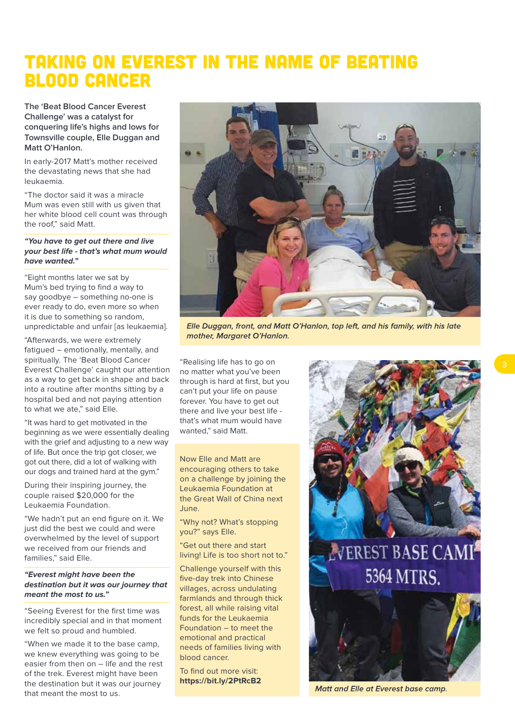# TAKING ON EVEREST IN THE NAME OF BEATING BLOOD CANCER

**The 'Beat Blood Cancer Everest Challenge' was a catalyst for conquering life's highs and lows for Townsville couple, Elle Duggan and Matt O'Hanlon.** 

In early-2017 Matt's mother received the devastating news that she had leukaemia.

"The doctor said it was a miracle Mum was even still with us given that her white blood cell count was through the roof," said Matt.

#### **"You have to get out there and live your best life - that's what mum would have wanted."**

"Eight months later we sat by Mum's bed trying to find a way to say goodbye – something no-one is ever ready to do, even more so when it is due to something so random, unpredictable and unfair [as leukaemia].

"Afterwards, we were extremely fatigued – emotionally, mentally, and spiritually. The 'Beat Blood Cancer Everest Challenge' caught our attention as a way to get back in shape and back into a routine after months sitting by a hospital bed and not paying attention to what we ate," said Elle.

"It was hard to get motivated in the beginning as we were essentially dealing with the grief and adjusting to a new way of life. But once the trip got closer, we got out there, did a lot of walking with our dogs and trained hard at the gym."

During their inspiring journey, the couple raised \$20,000 for the Leukaemia Foundation.

"We hadn't put an end figure on it. We just did the best we could and were overwhelmed by the level of support we received from our friends and families," said Elle.

#### **"Everest might have been the destination but it was our journey that meant the most to us."**

"Seeing Everest for the first time was incredibly special and in that moment we felt so proud and humbled.

"When we made it to the base camp, we knew everything was going to be easier from then on – life and the rest of the trek. Everest might have been the destination but it was our journey that meant the most to us.



Elle Duggan, front, and Matt O'Hanlon, top left, and his family, with his late mother, Margaret O'Hanlon.

"Realising life has to go on no matter what you've been through is hard at first, but you can't put your life on pause forever. You have to get out there and live your best life that's what mum would have wanted," said Matt.

Now Elle and Matt are encouraging others to take on a challenge by joining the Leukaemia Foundation at the Great Wall of China next June.

"Why not? What's stopping you?" says Elle.

"Get out there and start living! Life is too short not to."

Challenge yourself with this five-day trek into Chinese villages, across undulating farmlands and through thick forest, all while raising vital funds for the Leukaemia Foundation – to meet the emotional and practical needs of families living with blood cancer.

To find out more visit: **https://bit.ly/2PtRcB2** 



Matt and Elle at Everest base camp.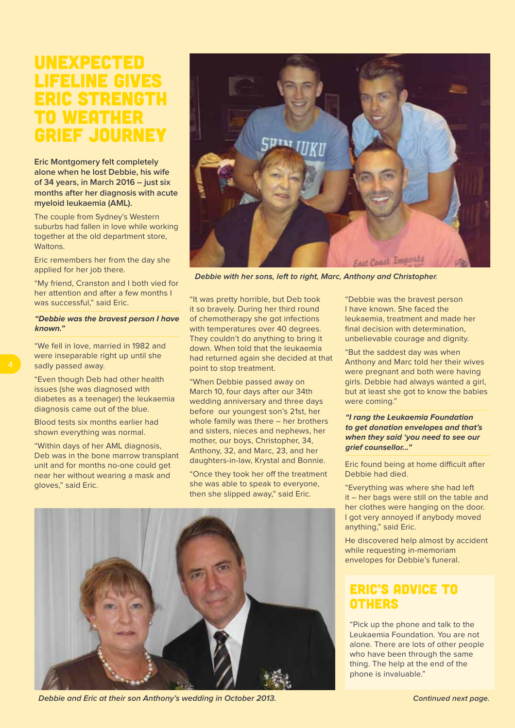### UNEXPECTED LIFELINE GIVES ERIC STRENGTH TO WEATHER SS JOURN

**Eric Montgomery felt completely alone when he lost Debbie, his wife of 34 years, in March 2016 – just six months after her diagnosis with acute myeloid leukaemia (AML).** 

The couple from Sydney's Western suburbs had fallen in love while working together at the old department store, Waltons.

Eric remembers her from the day she applied for her job there.

"My friend, Cranston and I both vied for her attention and after a few months I was successful," said Eric.

#### **"Debbie was the bravest person I have known."**

"We fell in love, married in 1982 and were inseparable right up until she sadly passed away.

"Even though Deb had other health issues (she was diagnosed with diabetes as a teenager) the leukaemia diagnosis came out of the blue.

Blood tests six months earlier had shown everything was normal.

"Within days of her AML diagnosis, Deb was in the bone marrow transplant unit and for months no-one could get near her without wearing a mask and gloves," said Eric.



Debbie with her sons, left to right, Marc, Anthony and Christopher.

"It was pretty horrible, but Deb took it so bravely. During her third round of chemotherapy she got infections with temperatures over 40 degrees. They couldn't do anything to bring it down. When told that the leukaemia had returned again she decided at that point to stop treatment.

"When Debbie passed away on March 10, four days after our 34th wedding anniversary and three days before our youngest son's 21st, her whole family was there – her brothers and sisters, nieces and nephews, her mother, our boys, Christopher, 34, Anthony, 32, and Marc, 23, and her daughters-in-law, Krystal and Bonnie.

"Once they took her off the treatment she was able to speak to everyone, then she slipped away," said Eric.



**Debbie and Eric at their son Anthony's wedding in October 2013. Continued next page. Continued next page.** 

"Debbie was the bravest person I have known. She faced the leukaemia, treatment and made her final decision with determination, unbelievable courage and dignity.

"But the saddest day was when Anthony and Marc told her their wives were pregnant and both were having girls. Debbie had always wanted a girl, but at least she got to know the babies were coming."

#### **"I rang the Leukaemia Foundation to get donation envelopes and that's when they said 'you need to see our grief counsellor…"**

Fric found being at home difficult after Debbie had died.

"Everything was where she had left it – her bags were still on the table and her clothes were hanging on the door. I got very annoyed if anybody moved anything," said Eric.

He discovered help almost by accident while requesting in-memoriam envelopes for Debbie's funeral.

### ERIC'S ADVICE TO **OTHERS**

"Pick up the phone and talk to the Leukaemia Foundation. You are not alone. There are lots of other people who have been through the same thing. The help at the end of the phone is invaluable."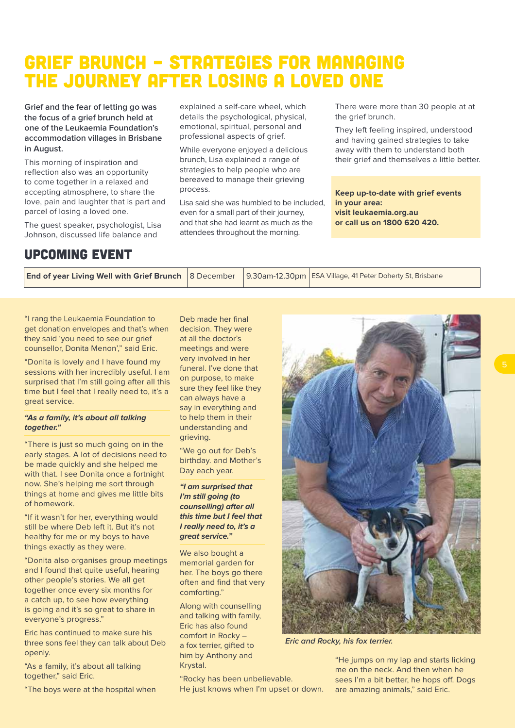# GRIEF BRUNCH – STRATEGIES FOR MANAGING THE JOURNEY after losing a loved one

**Grief and the fear of letting go was the focus of a grief brunch held at one of the Leukaemia Foundation's accommodation villages in Brisbane in August.** 

This morning of inspiration and reflection also was an opportunity to come together in a relaxed and accepting atmosphere, to share the love, pain and laughter that is part and parcel of losing a loved one.

The guest speaker, psychologist, Lisa Johnson, discussed life balance and

### UPCOMING EVENT

explained a self-care wheel, which details the psychological, physical, emotional, spiritual, personal and professional aspects of grief.

While everyone enjoyed a delicious brunch, Lisa explained a range of strategies to help people who are bereaved to manage their grieving process.

Lisa said she was humbled to be included, even for a small part of their journey, and that she had learnt as much as the attendees throughout the morning.

There were more than 30 people at at the grief brunch.

They left feeling inspired, understood and having gained strategies to take away with them to understand both their grief and themselves a little better.

**Keep up-to-date with grief events in your area: visit leukaemia.org.au or call us on 1800 620 420.**

| <b>End of year Living Well with Grief Brunch</b> 8 December 9.30am-12.30pm ESA Village, 41 Peter Doherty St, Brisbane |  |  |  |
|-----------------------------------------------------------------------------------------------------------------------|--|--|--|
|-----------------------------------------------------------------------------------------------------------------------|--|--|--|

"I rang the Leukaemia Foundation to get donation envelopes and that's when they said 'you need to see our grief counsellor, Donita Menon'," said Eric.

"Donita is lovely and I have found my sessions with her incredibly useful. I am surprised that I'm still going after all this time but I feel that I really need to, it's a great service.

#### **"As a family, it's about all talking together."**

"There is just so much going on in the early stages. A lot of decisions need to be made quickly and she helped me with that. I see Donita once a fortnight now. She's helping me sort through things at home and gives me little bits of homework.

"If it wasn't for her, everything would still be where Deb left it. But it's not healthy for me or my boys to have things exactly as they were.

"Donita also organises group meetings and I found that quite useful, hearing other people's stories. We all get together once every six months for a catch up, to see how everything is going and it's so great to share in everyone's progress."

Eric has continued to make sure his three sons feel they can talk about Deb openly.

"As a family, it's about all talking together," said Eric.

"The boys were at the hospital when

Deb made her final decision. They were at all the doctor's meetings and were very involved in her funeral. I've done that on purpose, to make sure they feel like they can always have a say in everything and to help them in their understanding and grieving.

"We go out for Deb's birthday. and Mother's Day each year.

#### **"I am surprised that I'm still going (to counselling) after all this time but I feel that I really need to, it's a great service."**

We also bought a memorial garden for her. The boys go there often and find that very comforting."

Along with counselling and talking with family, Eric has also found comfort in Rocky – a fox terrier, gifted to him by Anthony and Krystal.

"Rocky has been unbelievable. He just knows when I'm upset or down.



"He jumps on my lap and starts licking me on the neck. And then when he sees I'm a bit better, he hops off. Dogs are amazing animals," said Eric.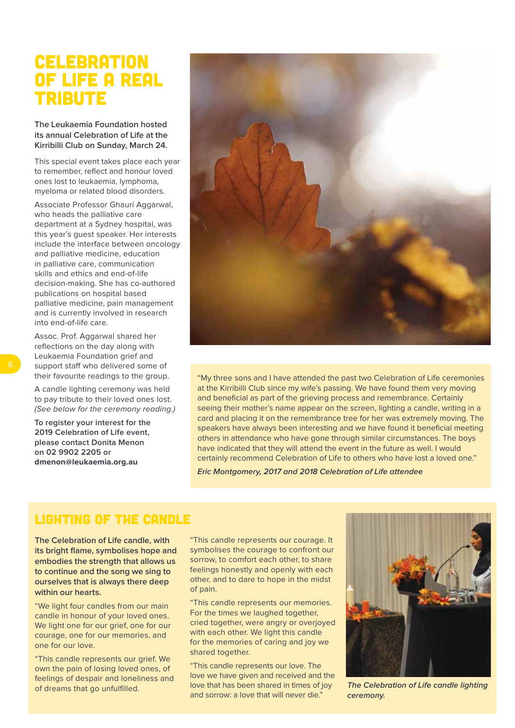### **CELEBRATION** OF LIFE A REAL TRIBUTE

**The Leukaemia Foundation hosted its annual Celebration of Life at the Kirribilli Club on Sunday, March 24.** 

This special event takes place each year to remember, reflect and honour loved ones lost to leukaemia, lymphoma, myeloma or related blood disorders.

Associate Professor Ghauri Aggarwal, who heads the palliative care department at a Sydney hospital, was this year's guest speaker. Her interests include the interface between oncology and palliative medicine, education in palliative care, communication skills and ethics and end-of-life decision-making. She has co-authored publications on hospital based palliative medicine, pain management and is currently involved in research into end-of-life care.

Assoc. Prof. Aggarwal shared her reflections on the day along with Leukaemia Foundation grief and support staff who delivered some of their favourite readings to the group.

A candle lighting ceremony was held to pay tribute to their loved ones lost. (See below for the ceremony reading.)

**To register your interest for the 2019 Celebration of Life event, please contact Donita Menon on 02 9902 2205 or dmenon@leukaemia.org.au**



"My three sons and I have attended the past two Celebration of Life ceremonies at the Kirribilli Club since my wife's passing. We have found them very moving and beneficial as part of the grieving process and remembrance. Certainly seeing their mother's name appear on the screen, lighting a candle, writing in a card and placing it on the remembrance tree for her was extremely moving. The speakers have always been interesting and we have found it beneficial meeting others in attendance who have gone through similar circumstances. The boys have indicated that they will attend the event in the future as well. I would certainly recommend Celebration of Life to others who have lost a loved one."

**Eric Montgomery, 2017 and 2018 Celebration of Life attendee**

### LIGHTING OF THE CANDLE

**The Celebration of Life candle, with its bright flame, symbolises hope and embodies the strength that allows us to continue and the song we sing to ourselves that is always there deep within our hearts.** 

"We light four candles from our main candle in honour of your loved ones. We light one for our grief, one for our courage, one for our memories, and one for our love.

"This candle represents our grief. We own the pain of losing loved ones, of feelings of despair and loneliness and of dreams that go unfulfilled.

"This candle represents our courage. It symbolises the courage to confront our sorrow, to comfort each other, to share feelings honestly and openly with each other, and to dare to hope in the midst of pain.

"This candle represents our memories. For the times we laughed together, cried together, were angry or overjoyed with each other. We light this candle for the memories of caring and joy we shared together.

"This candle represents our love. The love we have given and received and the love that has been shared in times of joy and sorrow: a love that will never die."



**The Celebration of Life candle lighting ceremony.**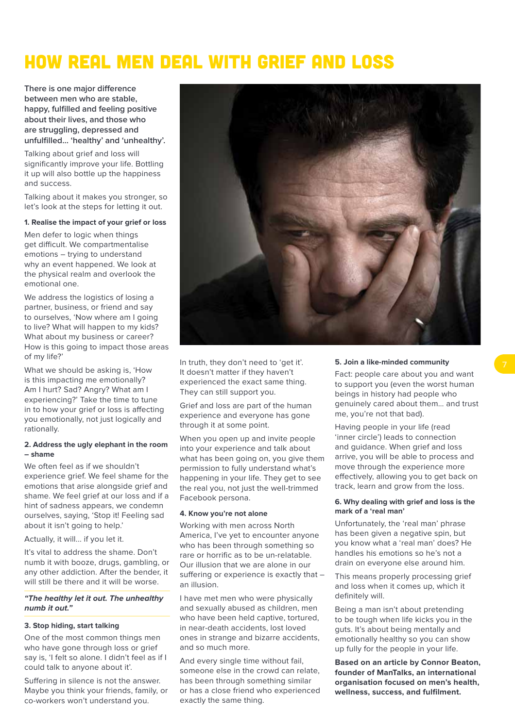# HOW REAL MEN DEAL WITH GRIEF AND LOSS

**There is one major diference between men who are stable, happy, fulfilled and feeling positive about their lives, and those who are struggling, depressed and unfulfilled... 'healthy' and 'unhealthy'.** 

Talking about grief and loss will significantly improve your life. Bottling it up will also bottle up the happiness and success.

Talking about it makes you stronger, so let's look at the steps for letting it out.

#### **1. Realise the impact of your grief or loss**

Men defer to logic when things get difficult. We compartmentalise emotions – trying to understand why an event happened. We look at the physical realm and overlook the emotional one.

We address the logistics of losing a partner, business, or friend and say to ourselves, 'Now where am I going to live? What will happen to my kids? What about my business or career? How is this going to impact those areas of my life?'

What we should be asking is, 'How is this impacting me emotionally? Am I hurt? Sad? Angry? What am I experiencing?' Take the time to tune in to how your grief or loss is afecting you emotionally, not just logically and rationally.

#### **2. Address the ugly elephant in the room – shame**

We often feel as if we shouldn't experience grief. We feel shame for the emotions that arise alongside grief and shame. We feel grief at our loss and if a hint of sadness appears, we condemn ourselves, saying, 'Stop it! Feeling sad about it isn't going to help.'

Actually, it will... if you let it.

It's vital to address the shame. Don't numb it with booze, drugs, gambling, or any other addiction. After the bender, it will still be there and it will be worse.

#### **"The healthy let it out. The unhealthy numb it out."**

#### **3. Stop hiding, start talking**

One of the most common things men who have gone through loss or grief say is, 'I felt so alone. I didn't feel as if I could talk to anyone about it'.

Suffering in silence is not the answer. Maybe you think your friends, family, or co-workers won't understand you.



In truth, they don't need to 'get it'. It doesn't matter if they haven't experienced the exact same thing. They can still support you.

Grief and loss are part of the human experience and everyone has gone through it at some point.

When you open up and invite people into your experience and talk about what has been going on, you give them permission to fully understand what's happening in your life. They get to see the real you, not just the well-trimmed Facebook persona.

#### **4. Know you're not alone**

Working with men across North America, I've yet to encounter anyone who has been through something so rare or horrific as to be un-relatable. Our illusion that we are alone in our suffering or experience is exactly that an illusion.

I have met men who were physically and sexually abused as children, men who have been held captive, tortured, in near-death accidents, lost loved ones in strange and bizarre accidents, and so much more.

And every single time without fail, someone else in the crowd can relate, has been through something similar or has a close friend who experienced exactly the same thing.

#### **5. Join a like-minded community**

Fact: people care about you and want to support you (even the worst human beings in history had people who genuinely cared about them… and trust me, you're not that bad).

Having people in your life (read 'inner circle') leads to connection and guidance. When grief and loss arrive, you will be able to process and move through the experience more efectively, allowing you to get back on track, learn and grow from the loss.

#### **6. Why dealing with grief and loss is the mark of a 'real man'**

Unfortunately, the 'real man' phrase has been given a negative spin, but you know what a 'real man' does? He handles his emotions so he's not a drain on everyone else around him.

This means properly processing grief and loss when it comes up, which it definitely will.

Being a man isn't about pretending to be tough when life kicks you in the guts. It's about being mentally and emotionally healthy so you can show up fully for the people in your life.

**Based on an article by Connor Beaton, founder of ManTalks, an international organisation focused on men's health, wellness, success, and fulfilment.**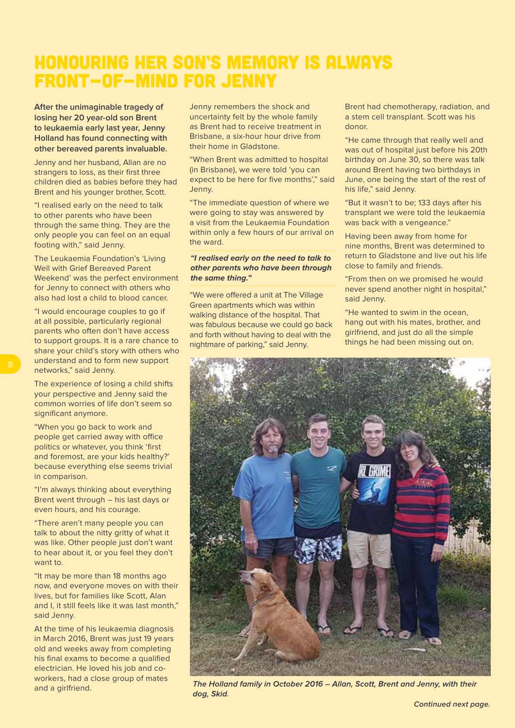# HONOURING her SON'S MEMORY is ALWAYS FRONT-OF-MIND FOR JENNY

**After the unimaginable tragedy of losing her 20 year-old son Brent to leukaemia early last year, Jenny Holland has found connecting with other bereaved parents invaluable.** 

Jenny and her husband, Allan are no strangers to loss, as their first three children died as babies before they had Brent and his younger brother, Scott.

"I realised early on the need to talk to other parents who have been through the same thing. They are the only people you can feel on an equal footing with," said Jenny.

The Leukaemia Foundation's 'Living Well with Grief Bereaved Parent Weekend' was the perfect environment for Jenny to connect with others who also had lost a child to blood cancer.

"I would encourage couples to go if at all possible, particularly regional parents who often don't have access to support groups. It is a rare chance to share your child's story with others who understand and to form new support networks," said Jenny.

The experience of losing a child shifts your perspective and Jenny said the common worries of life don't seem so significant anymore.

"When you go back to work and people get carried away with office politics or whatever, you think 'first and foremost, are your kids healthy?' because everything else seems trivial in comparison.

"I'm always thinking about everything Brent went through – his last days or even hours, and his courage.

"There aren't many people you can talk to about the nitty gritty of what it was like. Other people just don't want to hear about it, or you feel they don't want to.

"It may be more than 18 months ago now, and everyone moves on with their lives, but for families like Scott, Alan and I, it still feels like it was last month," said Jenny.

At the time of his leukaemia diagnosis in March 2016, Brent was just 19 years old and weeks away from completing his final exams to become a qualified electrician. He loved his job and coworkers, had a close group of mates and a girlfriend.

Jenny remembers the shock and uncertainty felt by the whole family as Brent had to receive treatment in Brisbane, a six-hour hour drive from their home in Gladstone.

"When Brent was admitted to hospital (in Brisbane), we were told 'you can expect to be here for five months'," said Jenny.

"The immediate question of where we were going to stay was answered by a visit from the Leukaemia Foundation within only a few hours of our arrival on the ward.

#### **"I realised early on the need to talk to other parents who have been through the same thing."**

"We were offered a unit at The Village Green apartments which was within walking distance of the hospital. That was fabulous because we could go back and forth without having to deal with the nightmare of parking," said Jenny.

Brent had chemotherapy, radiation, and a stem cell transplant. Scott was his donor.

"He came through that really well and was out of hospital just before his 20th birthday on June 30, so there was talk around Brent having two birthdays in June, one being the start of the rest of his life," said Jenny.

"But it wasn't to be; 133 days after his transplant we were told the leukaemia was back with a vengeance."

Having been away from home for nine months, Brent was determined to return to Gladstone and live out his life close to family and friends.

"From then on we promised he would never spend another night in hospital," said Jenny.

"He wanted to swim in the ocean, hang out with his mates, brother, and girlfriend, and just do all the simple things he had been missing out on.



The Holland family in October 2016 - Allan, Scott, Brent and Jenny, with their dog, Skid.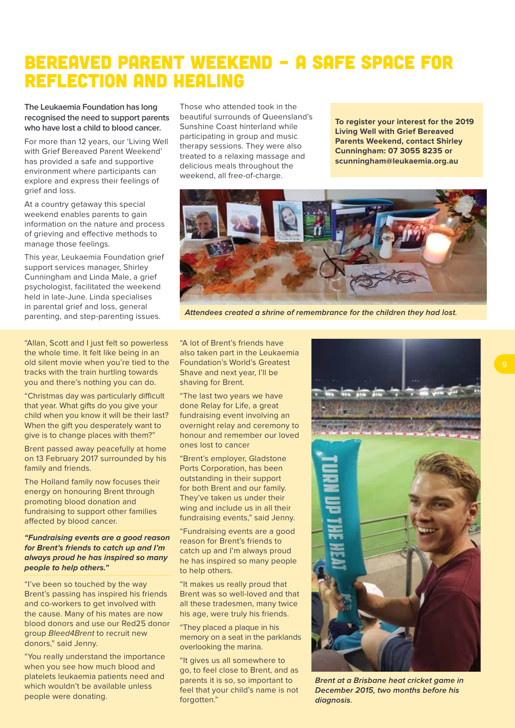# BEREAVED PARENT WEEKEND – A SAFE SPACE FOR REFLECTION AND HEALING

**The Leukaemia Foundation has long recognised the need to support parents who have lost a child to blood cancer.**

For more than 12 years, our 'Living Well with Grief Bereaved Parent Weekend' has provided a safe and supportive environment where participants can explore and express their feelings of grief and loss.

At a country getaway this special weekend enables parents to gain information on the nature and process of grieving and efective methods to manage those feelings.

This year, Leukaemia Foundation grief support services manager, Shirley Cunningham and Linda Male, a grief psychologist, facilitated the weekend held in late-June. Linda specialises in parental grief and loss, general parenting, and step-parenting issues.

"Allan, Scott and I just felt so powerless the whole time. It felt like being in an old silent movie when you're tied to the tracks with the train hurtling towards you and there's nothing you can do.

"Christmas day was particularly difficult that year. What gifts do you give your child when you know it will be their last? When the gift you desperately want to give is to change places with them?"

Brent passed away peacefully at home on 13 February 2017 surrounded by his family and friends.

The Holland family now focuses their energy on honouring Brent through promoting blood donation and fundraising to support other families afected by blood cancer.

#### **"Fundraising events are a good reason for Brent's friends to catch up and I'm always proud he has inspired so many people to help others."**

"I've been so touched by the way Brent's passing has inspired his friends and co-workers to get involved with the cause. Many of his mates are now blood donors and use our Red25 donor group Bleed4Brent to recruit new donors," said Jenny.

"You really understand the importance when you see how much blood and platelets leukaemia patients need and which wouldn't be available unless people were donating.

Those who attended took in the beautiful surrounds of Queensland's Sunshine Coast hinterland while participating in group and music therapy sessions. They were also treated to a relaxing massage and delicious meals throughout the weekend, all free-of-charge.

**To register your interest for the 2019 Living Well with Grief Bereaved Parents Weekend, contact Shirley Cunningham: 07 3055 8235 or scunningham@leukaemia.org.au**



Attendees created a shrine of remembrance for the children they had lost.

"A lot of Brent's friends have also taken part in the Leukaemia Foundation's World's Greatest Shave and next year, I'll be shaving for Brent.

"The last two years we have done Relay for Life, a great fundraising event involving an overnight relay and ceremony to honour and remember our loved ones lost to cancer

"Brent's employer, Gladstone Ports Corporation, has been outstanding in their support for both Brent and our family. They've taken us under their wing and include us in all their fundraising events," said Jenny.

"Fundraising events are a good reason for Brent's friends to catch up and I'm always proud he has inspired so many people to help others.

"It makes us really proud that Brent was so well-loved and that all these tradesmen, many twice his age, were truly his friends.

"They placed a plaque in his memory on a seat in the parklands overlooking the marina.

"It gives us all somewhere to go, to feel close to Brent, and as parents it is so, so important to feel that your child's name is not forgotten."





Brent at a Brisbane heat cricket aame in December 2015, two months before his diaanosis.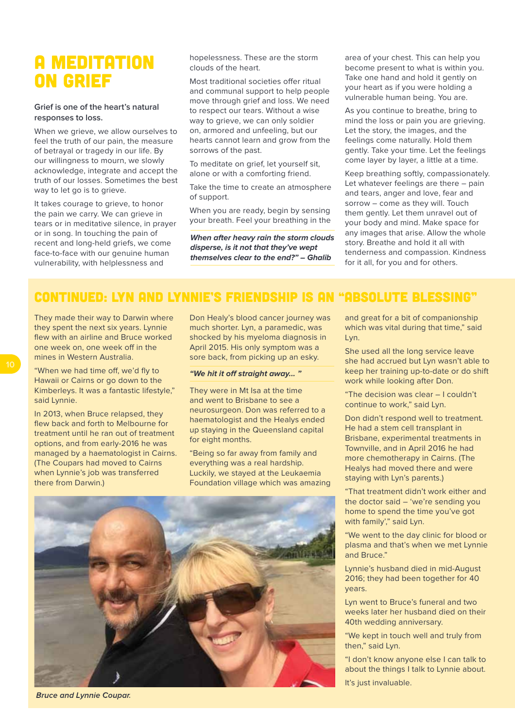### A MEDITATION ON GRIEF

#### **Grief is one of the heart's natural responses to loss.**

When we grieve, we allow ourselves to feel the truth of our pain, the measure of betrayal or tragedy in our life. By our willingness to mourn, we slowly acknowledge, integrate and accept the truth of our losses. Sometimes the best way to let go is to grieve.

It takes courage to grieve, to honor the pain we carry. We can grieve in tears or in meditative silence, in prayer or in song. In touching the pain of recent and long-held griefs, we come face-to-face with our genuine human vulnerability, with helplessness and

hopelessness. These are the storm clouds of the heart.

Most traditional societies offer ritual and communal support to help people move through grief and loss. We need to respect our tears. Without a wise way to grieve, we can only soldier on, armored and unfeeling, but our hearts cannot learn and grow from the sorrows of the past.

To meditate on grief, let yourself sit, alone or with a comforting friend.

Take the time to create an atmosphere of support.

When you are ready, begin by sensing your breath. Feel your breathing in the

**When after heavy rain the storm clouds disperse, is it not that they've wept themselves clear to the end?" – Ghalib**

area of your chest. This can help you become present to what is within you. Take one hand and hold it gently on your heart as if you were holding a vulnerable human being. You are.

As you continue to breathe, bring to mind the loss or pain you are grieving. Let the story, the images, and the feelings come naturally. Hold them gently. Take your time. Let the feelings come layer by layer, a little at a time.

Keep breathing softly, compassionately. Let whatever feelings are there – pain and tears, anger and love, fear and sorrow – come as they will. Touch them gently. Let them unravel out of your body and mind. Make space for any images that arise. Allow the whole story. Breathe and hold it all with tenderness and compassion. Kindness for it all, for you and for others.

### CONTINUED: LYN AND LYNNIE'S FRIENDSHIP IS AN "ABSOLUTE BLESSING"

They made their way to Darwin where they spent the next six years. Lynnie flew with an airline and Bruce worked one week on, one week off in the mines in Western Australia.

"When we had time off, we'd fly to Hawaii or Cairns or go down to the Kimberleys. It was a fantastic lifestyle," said Lynnie.

In 2013, when Bruce relapsed, they flew back and forth to Melbourne for treatment until he ran out of treatment options, and from early-2016 he was managed by a haematologist in Cairns. (The Coupars had moved to Cairns when Lynnie's job was transferred there from Darwin.)

Don Healy's blood cancer journey was much shorter. Lyn, a paramedic, was shocked by his myeloma diagnosis in April 2015. His only symptom was a sore back, from picking up an esky.

#### **"We hit it of straight away... "**

They were in Mt Isa at the time and went to Brisbane to see a neurosurgeon. Don was referred to a haematologist and the Healys ended up staying in the Queensland capital for eight months.

"Being so far away from family and everything was a real hardship. Luckily, we stayed at the Leukaemia Foundation village which was amazing



**Bruce and Lynnie Coupar.** 

and great for a bit of companionship which was vital during that time," said Lyn.

She used all the long service leave she had accrued but Lyn wasn't able to keep her training up-to-date or do shift work while looking after Don.

"The decision was clear – I couldn't continue to work," said Lyn.

Don didn't respond well to treatment. He had a stem cell transplant in Brisbane, experimental treatments in Townville, and in April 2016 he had more chemotherapy in Cairns. (The Healys had moved there and were staying with Lyn's parents.)

"That treatment didn't work either and the doctor said – 'we're sending you home to spend the time you've got with family'," said Lyn.

"We went to the day clinic for blood or plasma and that's when we met Lynnie and Bruce."

Lynnie's husband died in mid-August 2016; they had been together for 40 years.

Lyn went to Bruce's funeral and two weeks later her husband died on their 40th wedding anniversary.

"We kept in touch well and truly from then," said Lyn.

"I don't know anyone else I can talk to about the things I talk to Lynnie about. It's just invaluable.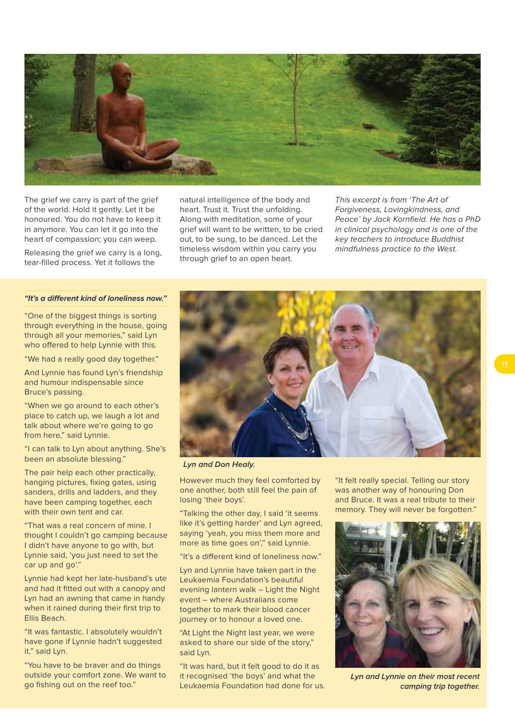

The grief we carry is part of the grief of the world. Hold it gently. Let it be honoured. You do not have to keep it in anymore. You can let it go into the heart of compassion; you can weep.

Releasing the grief we carry is a long, tear-filled process. Yet it follows the

natural intelligence of the body and heart. Trust it. Trust the unfolding. Along with meditation, some of your grief will want to be written, to be cried out, to be sung, to be danced. Let the timeless wisdom within you carry you through grief to an open heart.

This excerpt is from 'The Art of Forgiveness, Lovingkindness, and Peace' by Jack Kornfield. He has a PhD in clinical psychology and is one of the key teachers to introduce Buddhist mindfulness practice to the West.

#### **"It's a diferent kind of loneliness now."**

"One of the biggest things is sorting through everything in the house, going through all your memories," said Lyn who offered to help Lynnie with this.

"We had a really good day together."

And Lynnie has found Lyn's friendship and humour indispensable since Bruce's passing.

"When we go around to each other's place to catch up, we laugh a lot and talk about where we're going to go from here," said Lynnie.

"I can talk to Lyn about anything. She's been an absolute blessing."

The pair help each other practically, hanging pictures, fixing gates, using sanders, drills and ladders, and they have been camping together, each with their own tent and car.

"That was a real concern of mine. I thought I couldn't go camping because I didn't have anyone to go with, but Lynnie said, 'you just need to set the car up and go'."

Lynnie had kept her late-husband's ute and had it fitted out with a canopy and Lyn had an awning that came in handy when it rained during their first trip to Ellis Beach.

"It was fantastic. I absolutely wouldn't have gone if Lynnie hadn't suggested it," said Lyn.

"You have to be braver and do things outside your comfort zone. We want to go fishing out on the reef too."



Lyn and Don Healy.

However much they feel comforted by one another, both still feel the pain of losing 'their boys'.

"Talking the other day, I said 'it seems like it's getting harder' and Lyn agreed, saying 'yeah, you miss them more and more as time goes on'," said Lynnie.

"It's a diferent kind of loneliness now."

Lyn and Lynnie have taken part in the Leukaemia Foundation's beautiful evening lantern walk – Light the Night event – where Australians come together to mark their blood cancer journey or to honour a loved one.

"At Light the Night last year, we were asked to share our side of the story," said Lyn.

"It was hard, but it felt good to do it as it recognised 'the boys' and what the Leukaemia Foundation had done for us.

"It felt really special. Telling our story was another way of honouring Don and Bruce. It was a real tribute to their memory. They will never be forgotten."



Lyn and Lynnie on their most recent camping trip together.